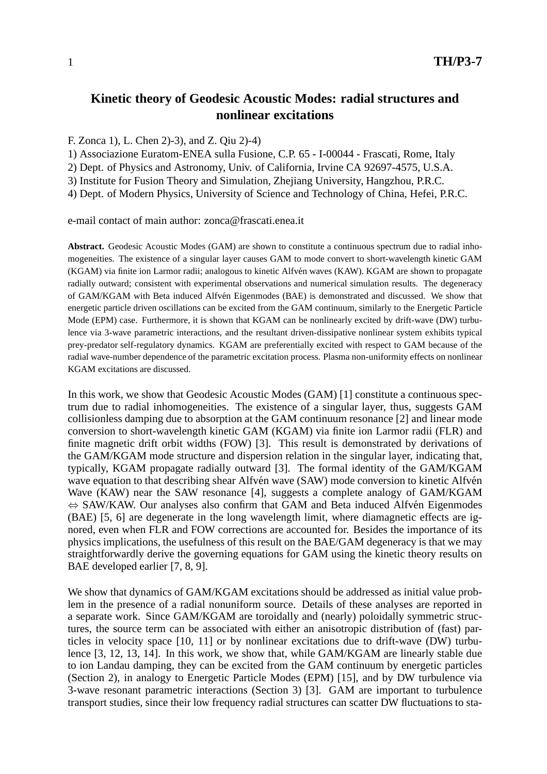# **Kinetic theory of Geodesic Acoustic Modes: radial structures and nonlinear excitations**

## F. Zonca 1), L. Chen 2)-3), and Z. Qiu 2)-4)

1) Associazione Euratom-ENEA sulla Fusione, C.P. 65 - I-00044 - Frascati, Rome, Italy

2) Dept. of Physics and Astronomy, Univ. of California, Irvine CA 92697-4575, U.S.A.

3) Institute for Fusion Theory and Simulation, Zhejiang University, Hangzhou, P.R.C.

4) Dept. of Modern Physics, University of Science and Technology of China, Hefei, P.R.C.

e-mail contact of main author: zonca@frascati.enea.it

**Abstract.** Geodesic Acoustic Modes (GAM) are shown to constitute a continuous spectrum due to radial inhomogeneities. The existence of a singular layer causes GAM to mode convert to short-wavelength kinetic GAM (KGAM) via finite ion Larmor radii; analogous to kinetic Alfvén waves (KAW). KGAM are shown to propagate radially outward; consistent with experimental observations and numerical simulation results. The degeneracy of GAM/KGAM with Beta induced Alfvén Eigenmodes (BAE) is demonstrated and discussed. We show that energetic particle driven oscillations can be excited from the GAM continuum, similarly to the Energetic Particle Mode (EPM) case. Furthermore, it is shown that KGAM can be nonlinearly excited by drift-wave (DW) turbulence via 3-wave parametric interactions, and the resultant driven-dissipative nonlinear system exhibits typical prey-predator self-regulatory dynamics. KGAM are preferentially excited with respect to GAM because of the radial wave-number dependence of the parametric excitation process. Plasma non-uniformity effects on nonlinear KGAM excitations are discussed.

In this work, we show that Geodesic Acoustic Modes (GAM) [1] constitute a continuous spectrum due to radial inhomogeneities. The existence of a singular layer, thus, suggests GAM collisionless damping due to absorption at the GAM continuum resonance [2] and linear mode conversion to short-wavelength kinetic GAM (KGAM) via finite ion Larmor radii (FLR) and finite magnetic drift orbit widths (FOW) [3]. This result is demonstrated by derivations of the GAM/KGAM mode structure and dispersion relation in the singular layer, indicating that, typically, KGAM propagate radially outward [3]. The formal identity of the GAM/KGAM wave equation to that describing shear Alfvén wave (SAW) mode conversion to kinetic Alfvén Wave (KAW) near the SAW resonance [4], suggests a complete analogy of GAM/KGAM  $\Leftrightarrow$  SAW/KAW. Our analyses also confirm that GAM and Beta induced Alfvén Eigenmodes (BAE) [5, 6] are degenerate in the long wavelength limit, where diamagnetic effects are ignored, even when FLR and FOW corrections are accounted for. Besides the importance of its physics implications, the usefulness of this result on the BAE/GAM degeneracy is that we may straightforwardly derive the governing equations for GAM using the kinetic theory results on BAE developed earlier [7, 8, 9].

We show that dynamics of GAM/KGAM excitations should be addressed as initial value problem in the presence of a radial nonuniform source. Details of these analyses are reported in a separate work. Since GAM/KGAM are toroidally and (nearly) poloidally symmetric structures, the source term can be associated with either an anisotropic distribution of (fast) particles in velocity space [10, 11] or by nonlinear excitations due to drift-wave (DW) turbulence [3, 12, 13, 14]. In this work, we show that, while GAM/KGAM are linearly stable due to ion Landau damping, they can be excited from the GAM continuum by energetic particles (Section 2), in analogy to Energetic Particle Modes (EPM) [15], and by DW turbulence via 3-wave resonant parametric interactions (Section 3) [3]. GAM are important to turbulence transport studies, since their low frequency radial structures can scatter DW fluctuations to sta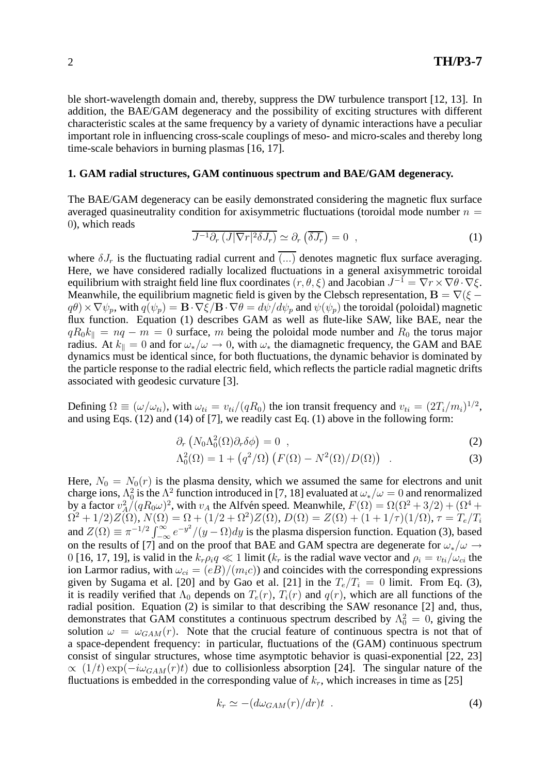ble short-wavelength domain and, thereby, suppress the DW turbulence transport [12, 13]. In addition, the BAE/GAM degeneracy and the possibility of exciting structures with different characteristic scales at the same frequency by a variety of dynamic interactions have a peculiar important role in influencing cross-scale couplings of meso- and micro-scales and thereby long time-scale behaviors in burning plasmas [16, 17].

### **1. GAM radial structures, GAM continuous spectrum and BAE/GAM degeneracy.**

The BAE/GAM degeneracy can be easily demonstrated considering the magnetic flux surface averaged quasineutrality condition for axisymmetric fluctuations (toroidal mode number  $n =$ 0), which reads

$$
\overline{J^{-1}\partial_r(J|\nabla r|^2\delta J_r)} \simeq \partial_r(\overline{\delta J_r}) = 0 \quad , \tag{1}
$$

where  $\delta J_r$  is the fluctuating radial current and  $\overline{(...)}$  denotes magnetic flux surface averaging. Here, we have considered radially localized fluctuations in a general axisymmetric toroidal equilibrium with straight field line flux coordinates  $(r, \theta, \xi)$  and Jacobian  $J^{-1} = \nabla r \times \nabla \theta \cdot \nabla \xi$ . Meanwhile, the equilibrium magnetic field is given by the Clebsch representation,  $\mathbf{B} = \nabla(\xi - \mathbf{B})$  $q\theta$  ×  $\nabla\psi_p$ , with  $q(\psi_p) = \mathbf{B} \cdot \nabla \xi / \mathbf{B} \cdot \nabla \theta = d\psi / d\psi_p$  and  $\psi(\psi_p)$  the toroidal (poloidal) magnetic flux function. Equation (1) describes GAM as well as flute-like SAW, like BAE, near the  $qR_0k_{\parallel} = nq - m = 0$  surface, m being the poloidal mode number and  $R_0$  the torus major radius. At  $k_{\parallel} = 0$  and for  $\omega_*/\omega \rightarrow 0$ , with  $\omega_*$  the diamagnetic frequency, the GAM and BAE dynamics must be identical since, for both fluctuations, the dynamic behavior is dominated by the particle response to the radial electric field, which reflects the particle radial magnetic drifts associated with geodesic curvature [3].

Defining  $\Omega \equiv (\omega/\omega_{ti})$ , with  $\omega_{ti} = v_{ti}/(qR_0)$  the ion transit frequency and  $v_{ti} = (2T_i/m_i)^{1/2}$ , and using Eqs. (12) and (14) of [7], we readily cast Eq. (1) above in the following form:

$$
\partial_r \left( N_0 \Lambda_0^2(\Omega) \partial_r \delta \phi \right) = 0 \quad , \tag{2}
$$

$$
\Lambda_0^2(\Omega) = 1 + \left( q^2 / \Omega \right) \left( F(\Omega) - N^2(\Omega) / D(\Omega) \right) . \tag{3}
$$

Here,  $N_0 = N_0(r)$  is the plasma density, which we assumed the same for electrons and unit charge ions,  $\Lambda_0^2$  is the  $\Lambda^2$  function introduced in [7, 18] evaluated at  $\omega_*/\omega = 0$  and renormalized by a factor  $v_A^2/(qR_0\omega)^2$ , with  $v_A$  the Alfvén speed. Meanwhile,  $F(\Omega) = \Omega(\Omega^2 + 3/2) + (\Omega^4 +$  $\Omega^2+1/2)Z(\Omega),\,N(\Omega)=\Omega+(1/2+\Omega^2)Z(\Omega),\,D(\Omega)=Z(\Omega)+(1+1/\tau)(1/\Omega),\,\tau=T_e/T_i$ and  $Z(\Omega) \equiv \pi^{-1/2} \int_{-\infty}^{\infty} e^{-y^2} / (y - \Omega) dy$  is the plasma dispersion function. Equation (3), based on the results of [7] and on the proof that BAE and GAM spectra are degenerate for  $\omega_*/\omega \rightarrow$ 0 [16, 17, 19], is valid in the  $k_r \rho_i q \ll 1$  limit ( $k_r$  is the radial wave vector and  $\rho_i = v_{ti}/\omega_{ci}$  the ion Larmor radius, with  $\omega_{ci} = (eB)/(m_i c)$  and coincides with the corresponding expressions given by Sugama et al. [20] and by Gao et al. [21] in the  $T_e/T_i = 0$  limit. From Eq. (3), it is readily verified that  $\Lambda_0$  depends on  $T_e(r)$ ,  $T_i(r)$  and  $q(r)$ , which are all functions of the radial position. Equation (2) is similar to that describing the SAW resonance [2] and, thus, demonstrates that GAM constitutes a continuous spectrum described by  $\Lambda_0^2 = 0$ , giving the solution  $\omega = \omega_{GAM}(r)$ . Note that the crucial feature of continuous spectra is not that of a space-dependent frequency: in particular, fluctuations of the (GAM) continuous spectrum consist of singular structures, whose time asymptotic behavior is quasi-exponential [22, 23]  $\propto (1/t) \exp(-i\omega_{GAM}(r)t)$  due to collisionless absorption [24]. The singular nature of the fluctuations is embedded in the corresponding value of  $k_r$ , which increases in time as [25]

$$
k_r \simeq -\left(d\omega_{GAM}(r)/dr\right)t \tag{4}
$$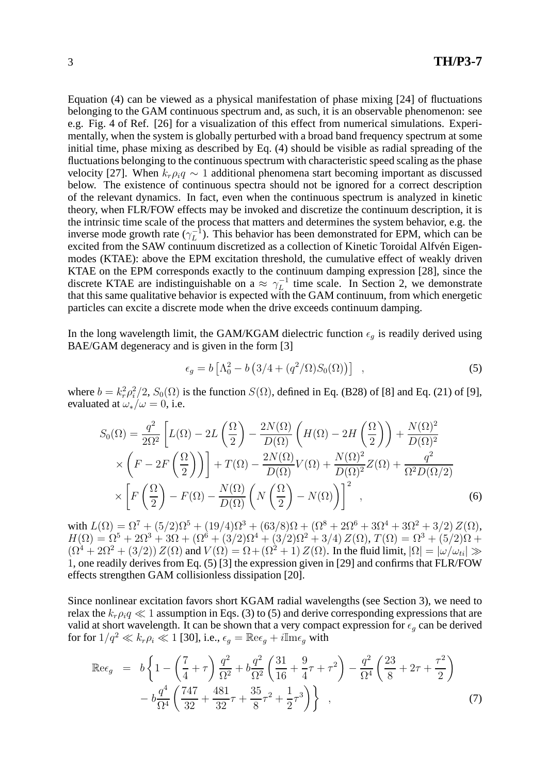Equation (4) can be viewed as a physical manifestation of phase mixing [24] of fluctuations belonging to the GAM continuous spectrum and, as such, it is an observable phenomenon: see e.g. Fig. 4 of Ref. [26] for a visualization of this effect from numerical simulations. Experimentally, when the system is globally perturbed with a broad band frequency spectrum at some initial time, phase mixing as described by Eq. (4) should be visible as radial spreading of the fluctuations belonging to the continuous spectrum with characteristic speed scaling as the phase velocity [27]. When  $k_r \rho_i q \sim 1$  additional phenomena start becoming important as discussed below. The existence of continuous spectra should not be ignored for a correct description of the relevant dynamics. In fact, even when the continuous spectrum is analyzed in kinetic theory, when FLR/FOW effects may be invoked and discretize the continuum description, it is the intrinsic time scale of the process that matters and determines the system behavior, e.g. the inverse mode growth rate  $(\gamma_L^{-1})$  $L^{-1}$ ). This behavior has been demonstrated for EPM, which can be excited from the SAW continuum discretized as a collection of Kinetic Toroidal Alfvén Eigenmodes (KTAE): above the EPM excitation threshold, the cumulative effect of weakly driven KTAE on the EPM corresponds exactly to the continuum damping expression [28], since the discrete KTAE are indistinguishable on a  $\approx \gamma_L^{-1}$  $L^{-1}$  time scale. In Section 2, we demonstrate that this same qualitative behavior is expected with the GAM continuum, from which energetic particles can excite a discrete mode when the drive exceeds continuum damping.

In the long wavelength limit, the GAM/KGAM dielectric function  $\epsilon_q$  is readily derived using BAE/GAM degeneracy and is given in the form [3]

$$
\epsilon_g = b \left[ \Lambda_0^2 - b \left( 3/4 + (q^2/\Omega) S_0(\Omega) \right) \right] , \qquad (5)
$$

where  $b = k_r^2 \rho_i^2$  $i^2/2$ ,  $S_0(\Omega)$  is the function  $S(\Omega)$ , defined in Eq. (B28) of [8] and Eq. (21) of [9], evaluated at  $\omega_*/\omega = 0$ , i.e.

$$
S_0(\Omega) = \frac{q^2}{2\Omega^2} \left[ L(\Omega) - 2L\left(\frac{\Omega}{2}\right) - \frac{2N(\Omega)}{D(\Omega)} \left( H(\Omega) - 2H\left(\frac{\Omega}{2}\right) \right) + \frac{N(\Omega)^2}{D(\Omega)^2} \right]
$$
  
 
$$
\times \left( F - 2F\left(\frac{\Omega}{2}\right) \right) \right] + T(\Omega) - \frac{2N(\Omega)}{D(\Omega)} V(\Omega) + \frac{N(\Omega)^2}{D(\Omega)^2} Z(\Omega) + \frac{q^2}{\Omega^2 D(\Omega/2)}
$$
  
 
$$
\times \left[ F\left(\frac{\Omega}{2}\right) - F(\Omega) - \frac{N(\Omega)}{D(\Omega)} \left( N\left(\frac{\Omega}{2}\right) - N(\Omega) \right) \right]^2 ,
$$
 (6)

with  $L(\Omega) = \Omega^7 + (5/2)\Omega^5 + (19/4)\Omega^3 + (63/8)\Omega + (\Omega^8 + 2\Omega^6 + 3\Omega^4 + 3\Omega^2 + 3/2) Z(\Omega)$ ,  $H(\Omega) = \Omega^5 + 2\Omega^3 + 3\Omega + (\Omega^6 + (3/2)\Omega^4 + (3/2)\Omega^2 + 3/4) Z(\Omega), T(\Omega) = \Omega^3 + (5/2)\Omega +$  $(\Omega^4 + 2\Omega^2 + (3/2))Z(\Omega)$  and  $V(\Omega) = \Omega + (\Omega^2 + 1)Z(\Omega)$ . In the fluid limit,  $|\Omega| = |\omega/\omega_{ti}| \gg$ 1, one readily derives from Eq. (5) [3] the expression given in [29] and confirms that FLR/FOW effects strengthen GAM collisionless dissipation [20].

Since nonlinear excitation favors short KGAM radial wavelengths (see Section 3), we need to relax the  $k_r \rho_i q \ll 1$  assumption in Eqs. (3) to (5) and derive corresponding expressions that are valid at short wavelength. It can be shown that a very compact expression for  $\epsilon_q$  can be derived for for  $1/q^2 \ll k_r \rho_i \ll 1$  [30], i.e.,  $\epsilon_q = \mathbb{R} e \epsilon_q + i \mathbb{I} m \epsilon_q$  with

$$
\mathbb{R}e_{g} = b \left\{ 1 - \left( \frac{7}{4} + \tau \right) \frac{q^{2}}{\Omega^{2}} + b \frac{q^{2}}{\Omega^{2}} \left( \frac{31}{16} + \frac{9}{4} \tau + \tau^{2} \right) - \frac{q^{2}}{\Omega^{4}} \left( \frac{23}{8} + 2\tau + \frac{\tau^{2}}{2} \right) - b \frac{q^{4}}{\Omega^{4}} \left( \frac{747}{32} + \frac{481}{32} \tau + \frac{35}{8} \tau^{2} + \frac{1}{2} \tau^{3} \right) \right\} ,
$$
\n(7)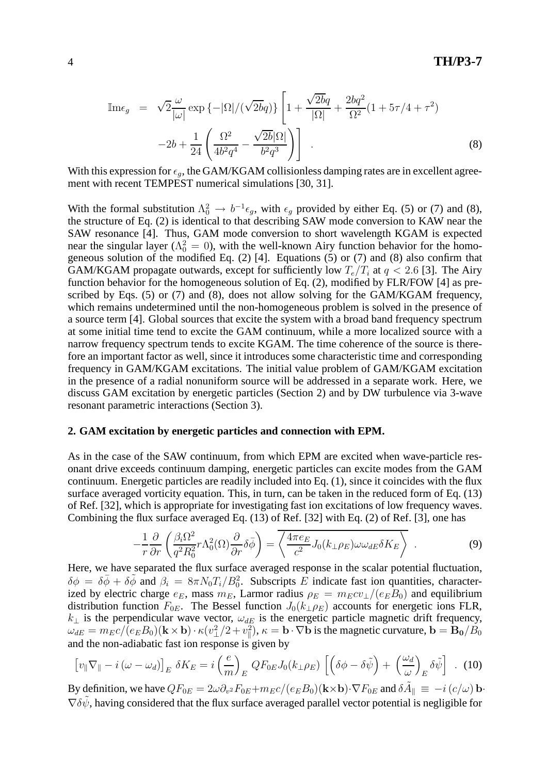$$
\mathbb{I}_{\text{me}_{g}} = \sqrt{2} \frac{\omega}{|\omega|} \exp \{-|\Omega| / (\sqrt{2bq})\} \left[ 1 + \frac{\sqrt{2bq}}{|\Omega|} + \frac{2bq^{2}}{\Omega^{2}} (1 + 5\tau/4 + \tau^{2}) - 2b + \frac{1}{24} \left( \frac{\Omega^{2}}{4b^{2}q^{4}} - \frac{\sqrt{2b}|\Omega|}{b^{2}q^{3}} \right) \right]
$$
\n(8)

With this expression for  $\epsilon_q$ , the GAM/KGAM collisionless damping rates are in excellent agreement with recent TEMPEST numerical simulations [30, 31].

With the formal substitution  $\Lambda_0^2 \to b^{-1} \epsilon_g$ , with  $\epsilon_g$  provided by either Eq. (5) or (7) and (8), the structure of Eq. (2) is identical to that describing SAW mode conversion to KAW near the SAW resonance [4]. Thus, GAM mode conversion to short wavelength KGAM is expected near the singular layer ( $\Lambda_0^2 = 0$ ), with the well-known Airy function behavior for the homogeneous solution of the modified Eq.  $(2)$  [4]. Equations (5) or (7) and (8) also confirm that GAM/KGAM propagate outwards, except for sufficiently low  $T_e/T_i$  at  $q < 2.6$  [3]. The Airy function behavior for the homogeneous solution of Eq. (2), modified by FLR/FOW [4] as prescribed by Eqs. (5) or (7) and (8), does not allow solving for the GAM/KGAM frequency, which remains undetermined until the non-homogeneous problem is solved in the presence of a source term [4]. Global sources that excite the system with a broad band frequency spectrum at some initial time tend to excite the GAM continuum, while a more localized source with a narrow frequency spectrum tends to excite KGAM. The time coherence of the source is therefore an important factor as well, since it introduces some characteristic time and corresponding frequency in GAM/KGAM excitations. The initial value problem of GAM/KGAM excitation in the presence of a radial nonuniform source will be addressed in a separate work. Here, we discuss GAM excitation by energetic particles (Section 2) and by DW turbulence via 3-wave resonant parametric interactions (Section 3).

### **2. GAM excitation by energetic particles and connection with EPM.**

As in the case of the SAW continuum, from which EPM are excited when wave-particle resonant drive exceeds continuum damping, energetic particles can excite modes from the GAM continuum. Energetic particles are readily included into Eq. (1), since it coincides with the flux surface averaged vorticity equation. This, in turn, can be taken in the reduced form of Eq. (13) of Ref. [32], which is appropriate for investigating fast ion excitations of low frequency waves. Combining the flux surface averaged Eq. (13) of Ref. [32] with Eq. (2) of Ref. [3], one has

$$
-\frac{1}{r}\frac{\partial}{\partial r}\left(\frac{\beta_i\Omega^2}{q^2R_0^2}r\Lambda_0^2(\Omega)\frac{\partial}{\partial r}\delta\bar{\phi}\right) = \overline{\left\langle \frac{4\pi e_E}{c^2}J_0(k_\perp\rho_E)\omega\omega_{dE}\delta K_E \right\rangle} \tag{9}
$$

Here, we have separated the flux surface averaged response in the scalar potential fluctuation,  $\delta\phi = \delta\bar{\phi} + \delta\tilde{\phi}$  and  $\beta_i = 8\pi N_0 T_i / B_0^2$ . Subscripts E indicate fast ion quantities, characterized by electric charge  $e_E$ , mass  $m_E$ , Larmor radius  $\rho_E = m_E c v_\perp / (e_E B_0)$  and equilibrium distribution function  $F_{0E}$ . The Bessel function  $J_0(k_{\perp}\rho_E)$  accounts for energetic ions FLR,  $k_{\perp}$  is the perpendicular wave vector,  $\omega_{dE}$  is the energetic particle magnetic drift frequency,  $\omega_{dE} = m_{E}c/(e_{E}B_{0}) (\mathbf{k} \times \mathbf{b}) \cdot \kappa (v_{\perp}^{2}/2 + v_{\parallel}^{2})$  $(\overline{\mathbf{R}}_0)$ ,  $\kappa = \mathbf{b} \cdot \nabla \mathbf{b}$  is the magnetic curvature,  $\mathbf{b} = \mathbf{B_0}/\overline{B_0}$ and the non-adiabatic fast ion response is given by

$$
\left[v_{\parallel}\nabla_{\parallel} - i\left(\omega - \omega_d\right)\right]_E \delta K_E = i\left(\frac{e}{m}\right)_E QF_{0E}J_0(k_{\perp}\rho_E) \left[\left(\delta\phi - \delta\tilde{\psi}\right) + \left(\frac{\omega_d}{\omega}\right)_E \delta\tilde{\psi}\right] \ . \tag{10}
$$

By definition, we have  $QF_{0E} = 2\omega \partial_{v^2} F_{0E} + m_E c/(e_E B_0) (\mathbf{k} \times \mathbf{b}) \cdot \nabla F_{0E}$  and  $\delta \tilde{A}_{\parallel} \equiv -i(c/\omega) \mathbf{b} \cdot$  $\nabla \delta \psi$ , having considered that the flux surface averaged parallel vector potential is negligible for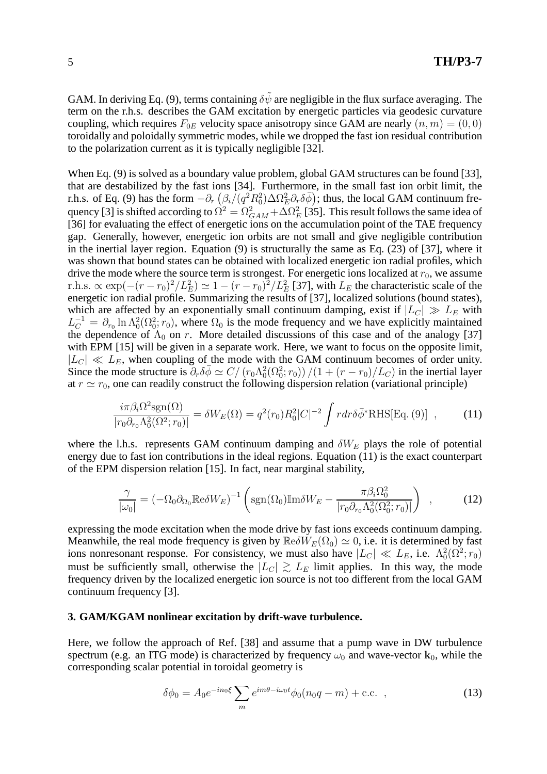GAM. In deriving Eq. (9), terms containing  $\delta\tilde{\psi}$  are negligible in the flux surface averaging. The term on the r.h.s. describes the GAM excitation by energetic particles via geodesic curvature coupling, which requires  $F_{0E}$  velocity space anisotropy since GAM are nearly  $(n, m) = (0, 0)$ toroidally and poloidally symmetric modes, while we dropped the fast ion residual contribution to the polarization current as it is typically negligible [32].

When Eq. (9) is solved as a boundary value problem, global GAM structures can be found [33], that are destabilized by the fast ions [34]. Furthermore, in the small fast ion orbit limit, the r.h.s. of Eq. (9) has the form  $-\partial_r \left( \frac{\beta_i}{q^2} R_0^2 \right) \Delta \Omega_E^2 \partial_r \delta \bar{\phi}$ ; thus, the local GAM continuum frequency [3] is shifted according to  $\Omega^2=\Omega^2_{GAM}+\Delta\Omega^2_{E}$  [35]. This result follows the same idea of [36] for evaluating the effect of energetic ions on the accumulation point of the TAE frequency gap. Generally, however, energetic ion orbits are not small and give negligible contribution in the inertial layer region. Equation  $(9)$  is structurally the same as Eq.  $(23)$  of [37], where it was shown that bound states can be obtained with localized energetic ion radial profiles, which drive the mode where the source term is strongest. For energetic ions localized at  $r_0$ , we assume r.h.s.  $\propto \exp(-(r - r_0)^2/L_E^2) \simeq 1 - (r - r_0)^2/L_E^2$  [37], with  $L_E$  the characteristic scale of the energetic ion radial profile. Summarizing the results of [37], localized solutions (bound states), which are affected by an exponentially small continuum damping, exist if  $|L_C| \gg L_E$  with  $L_C^{-1} = \partial_{r_0} \ln \Lambda_0^2(\Omega_0^2; r_0)$ , where  $\Omega_0$  is the mode frequency and we have explicitly maintained the dependence of  $\Lambda_0$  on r. More detailed discussions of this case and of the analogy [37] with EPM [15] will be given in a separate work. Here, we want to focus on the opposite limit,  $|L_C| \ll L_E$ , when coupling of the mode with the GAM continuum becomes of order unity. Since the mode structure is  $\partial_r \delta \bar{\phi} \simeq C / (r_0 \Lambda_0^2 (\Omega_0^2; r_0)) / (1 + (r - r_0) / L_C)$  in the inertial layer at  $r \simeq r_0$ , one can readily construct the following dispersion relation (variational principle)

$$
\frac{i\pi\beta_i\Omega^2\text{sgn}(\Omega)}{|r_0\partial_{r_0}\Lambda_0^2(\Omega^2;r_0)|} = \delta W_E(\Omega) = q^2(r_0)R_0^2|C|^{-2}\int r dr \delta\bar{\phi}^* \text{RHS}[\text{Eq. (9)}],\qquad(11)
$$

where the l.h.s. represents GAM continuum damping and  $\delta W_E$  plays the role of potential energy due to fast ion contributions in the ideal regions. Equation (11) is the exact counterpart of the EPM dispersion relation [15]. In fact, near marginal stability,

$$
\frac{\gamma}{|\omega_0|} = \left(-\Omega_0 \partial_{\Omega_0} \mathbb{R} e \delta W_E\right)^{-1} \left(\text{sgn}(\Omega_0) \mathbb{I} \text{m} \delta W_E - \frac{\pi \beta_i \Omega_0^2}{|r_0 \partial_{r_0} \Lambda_0^2(\Omega_0^2; r_0)|}\right) ,\qquad (12)
$$

expressing the mode excitation when the mode drive by fast ions exceeds continuum damping. Meanwhile, the real mode frequency is given by  $\mathbb{Re}\delta W_E(\Omega_0) \simeq 0$ , i.e. it is determined by fast ions nonresonant response. For consistency, we must also have  $|L_C| \ll L_E$ , i.e.  $\Lambda_0^2(\Omega^2; r_0)$ must be sufficiently small, otherwise the  $|L_C| \gtrsim L_E$  limit applies. In this way, the mode frequency driven by the localized energetic ion source is not too different from the local GAM continuum frequency [3].

#### **3. GAM/KGAM nonlinear excitation by drift-wave turbulence.**

Here, we follow the approach of Ref. [38] and assume that a pump wave in DW turbulence spectrum (e.g. an ITG mode) is characterized by frequency  $\omega_0$  and wave-vector  $\mathbf{k}_0$ , while the corresponding scalar potential in toroidal geometry is

$$
\delta\phi_0 = A_0 e^{-in_0\xi} \sum_m e^{im\theta - i\omega_0 t} \phi_0 (n_0 q - m) + \text{c.c.} , \qquad (13)
$$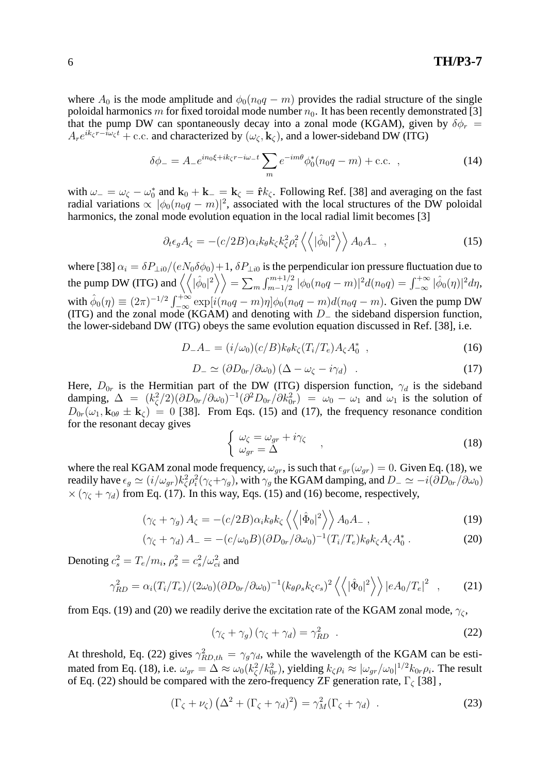where  $A_0$  is the mode amplitude and  $\phi_0(n_0q - m)$  provides the radial structure of the single poloidal harmonics m for fixed toroidal mode number  $n_0$ . It has been recently demonstrated [3] that the pump DW can spontaneously decay into a zonal mode (KGAM), given by  $\delta \phi_r =$  $A_re^{ik_\zeta r-i\omega_\zeta t}$  + c.c. and characterized by  $(\omega_\zeta, \mathbf{k}_\zeta)$ , and a lower-sideband DW (ITG)

$$
\delta\phi_{-} = A_{-}e^{in_{0}\xi + ik_{\zeta}r - i\omega_{-}t} \sum_{m} e^{-im\theta} \phi_{0}^{*}(n_{0}q - m) + \text{c.c.} , \qquad (14)
$$

with  $\omega_-=\omega_{\zeta}-\omega_0^*$  and  $\mathbf{k}_0+\mathbf{k}_-=\mathbf{k}_{\zeta}=\hat{\mathbf{r}}k_{\zeta}$ . Following Ref. [38] and averaging on the fast radial variations  $\propto |\phi_0(n_0q-m)|^2$ , associated with the local structures of the DW poloidal harmonics, the zonal mode evolution equation in the local radial limit becomes [3]

$$
\partial_t \epsilon_g A_\zeta = -(c/2B) \alpha_i k_\theta k_\zeta k_\zeta^2 \rho_i^2 \left\langle \left\langle |\hat{\phi}_0|^2 \right\rangle \right\rangle A_0 A_- \quad , \tag{15}
$$

where [38]  $\alpha_i = \delta P_{\perp i0}/(eN_0\delta\phi_0) + 1$ ,  $\delta P_{\perp i0}$  is the perpendicular ion pressure fluctuation due to the pump DW (ITG) and  $\left\langle \left\langle |\hat{\phi}_0|^2 \right\rangle \right\rangle = \sum_m \int_{m-1/2}^{m+1/2} |\phi_0(n_0q - m)|^2 d(n_0q) = \int_{-\infty}^{+\infty} |\hat{\phi}_0(\eta)|^2 d\eta$ , with  $\hat{\phi}_0(\eta) \equiv (2\pi)^{-1/2} \int_{-\infty}^{+\infty} \exp[i(n_0q - m)\eta] \phi_0(n_0q - m) d(n_0q - m)$ . Given the pump DW (ITG) and the zonal mode (KGAM) and denoting with  $D_$  the sideband dispersion function, the lower-sideband DW (ITG) obeys the same evolution equation discussed in Ref. [38], i.e.

$$
D_{-}A_{-} = (i/\omega_{0})(c/B)k_{\theta}k_{\zeta}(T_{i}/T_{e})A_{\zeta}A_{0}^{*} \t{,} \t(16)
$$

$$
D_{-} \simeq (\partial D_{0r}/\partial \omega_0) \left(\Delta - \omega_{\zeta} - i \gamma_d\right) \quad . \tag{17}
$$

Here,  $D_{0r}$  is the Hermitian part of the DW (ITG) dispersion function,  $\gamma_d$  is the sideband damping,  $\Delta = (k_c^2)$  $(\zeta^2/2)(\partial D_{0r}/\partial \omega_0)^{-1}(\partial^2 D_{0r}/\partial k_{0r}^2) = \omega_0 - \omega_1$  and  $\omega_1$  is the solution of  $D_{0r}(\omega_1, \mathbf{k}_{0\theta} \pm \mathbf{k}_{\zeta}) = 0$  [38]. From Eqs. (15) and (17), the frequency resonance condition for the resonant decay gives

$$
\begin{cases}\n\omega_{\zeta} = \omega_{gr} + i\gamma_{\zeta} \\
\omega_{gr} = \Delta\n\end{cases} (18)
$$

where the real KGAM zonal mode frequency,  $\omega_{gr}$ , is such that  $\epsilon_{gr}(\omega_{gr}) = 0$ . Given Eq. (18), we readily have  $\epsilon_g \simeq (i/\omega_{gr})k_\zeta^2$  $\zeta^2 \rho_i^2$  $i^2(\gamma_{\zeta}+\gamma_g)$ , with  $\gamma_g$  the KGAM damping, and  $D_-\simeq -i(\partial D_{0r}/\partial \omega_0)$  $\times$  ( $\gamma_c + \gamma_d$ ) from Eq. (17). In this way, Eqs. (15) and (16) become, respectively,

$$
(\gamma_{\zeta} + \gamma_g) A_{\zeta} = -(c/2B) \alpha_i k_{\theta} k_{\zeta} \langle \langle |\hat{\Phi}_0|^2 \rangle \rangle A_0 A_-, \qquad (19)
$$

$$
(\gamma_{\zeta} + \gamma_d) A_- = -(c/\omega_0 B)(\partial D_{0r}/\partial \omega_0)^{-1} (T_i/T_e) k_\theta k_\zeta A_\zeta A_0^* . \tag{20}
$$

Denoting  $c_s^2 = T_e/m_i$ ,  $\rho_s^2 = c_s^2$  $\frac{2}{s}/\omega_{ci}^2$  and

$$
\gamma_{RD}^2 = \alpha_i (T_i/T_e)/(2\omega_0)(\partial D_{0r}/\partial \omega_0)^{-1} (k_\theta \rho_s k_\zeta c_s)^2 \left\langle \left\langle |\hat{\Phi}_0|^2 \right\rangle \right\rangle |eA_0/T_e|^2 \quad , \tag{21}
$$

from Eqs. (19) and (20) we readily derive the excitation rate of the KGAM zonal mode,  $\gamma_c$ ,

$$
\left(\gamma_{\zeta} + \gamma_{g}\right)\left(\gamma_{\zeta} + \gamma_{d}\right) = \gamma_{RD}^{2} \tag{22}
$$

At threshold, Eq. (22) gives  $\gamma_{RD,th}^2 = \gamma_g \gamma_d$ , while the wavelength of the KGAM can be estimated from Eq. (18), i.e.  $\omega_{gr} = \Delta \approx \omega_0 (k_\zeta^2)$  $\zeta^2/k_{0r}^2$ ), yielding  $k_\zeta \rho_i \approx |\omega_{gr}/\omega_0|^{1/2} k_{0r} \rho_i$ . The result of Eq. (22) should be compared with the zero-frequency ZF generation rate,  $\Gamma_c$  [38],

$$
(\Gamma_{\zeta} + \nu_{\zeta}) \left( \Delta^2 + (\Gamma_{\zeta} + \gamma_d)^2 \right) = \gamma_M^2 (\Gamma_{\zeta} + \gamma_d) \quad . \tag{23}
$$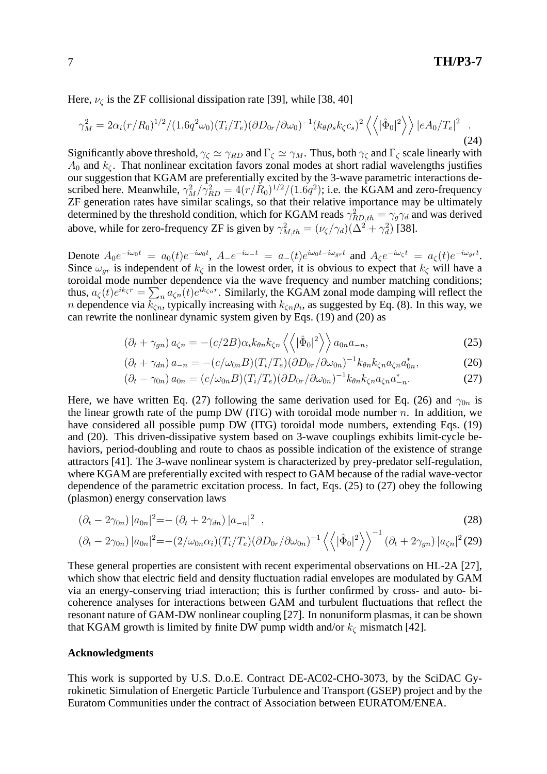Here,  $\nu_c$  is the ZF collisional dissipation rate [39], while [38, 40]

$$
\gamma_M^2 = 2\alpha_i (r/R_0)^{1/2} / (1.6q^2 \omega_0) (T_i/T_e) (\partial D_{0r} / \partial \omega_0)^{-1} (k_\theta \rho_s k_\zeta c_s)^2 \left\langle \left\langle |\hat{\Phi}_0|^2 \right\rangle \right\rangle |eA_0/T_e|^2 \quad . \tag{24}
$$

Significantly above threshold,  $\gamma_{\zeta} \simeq \gamma_{RD}$  and  $\Gamma_{\zeta} \simeq \gamma_M$ . Thus, both  $\gamma_{\zeta}$  and  $\Gamma_{\zeta}$  scale linearly with  $A_0$  and  $k_c$ . That nonlinear excitation favors zonal modes at short radial wavelengths justifies our suggestion that KGAM are preferentially excited by the 3-wave parametric interactions described here. Meanwhile,  $\gamma_M^2/\gamma_{RD}^2 = 4(r/R_0)^{1/2}/(1.6q^2)$ ; i.e. the KGAM and zero-frequency ZF generation rates have similar scalings, so that their relative importance may be ultimately determined by the threshold condition, which for KGAM reads  $\gamma_{RD,th}^2 = \gamma_g \gamma_d$  and was derived above, while for zero-frequency ZF is given by  $\gamma_{M,th}^2 = (\nu_{\zeta}/\gamma_d)(\Delta^2 + \gamma_d^2)$  $_d^2$ ) [38].

Denote  $A_0e^{-i\omega_0t} = a_0(t)e^{-i\omega_0t}$ ,  $A_{-}e^{-i\omega_{-}t} = a_{-}(t)e^{i\omega_0t-i\omega_{gr}t}$  and  $A_{\zeta}e^{-i\omega_{\zeta}t} = a_{\zeta}(t)e^{-i\omega_{gr}t}$ . Since  $\omega_{gr}$  is independent of  $k_c$  in the lowest order, it is obvious to expect that  $k_c$  will have a toroidal mode number dependence via the wave frequency and number matching conditions; thus,  $a_\zeta(t)e^{ik_\zeta r} = \sum_n a_{\zeta n}(t)e^{ik_\zeta n r}$ . Similarly, the KGAM zonal mode damping will reflect the *n* dependence via  $k_{\zeta n}$ , typically increasing with  $k_{\zeta n}\rho_i$ , as suggested by Eq. (8). In this way, we can rewrite the nonlinear dynamic system given by Eqs. (19) and (20) as

$$
\left(\partial_t + \gamma_{gn}\right) a_{\zeta n} = -(c/2B) \alpha_i k_{\theta n} k_{\zeta n} \left\langle \left\langle |\hat{\Phi}_0|^2 \right\rangle \right\rangle a_{0n} a_{-n},\tag{25}
$$

$$
(\partial_t + \gamma_{dn}) a_{-n} = -(c/\omega_{0n}B)(T_i/T_e)(\partial D_{0r}/\partial \omega_{0n})^{-1} k_{\theta n} k_{\zeta n} a_{\zeta n} a_{0n}^*,
$$
 (26)

$$
(\partial_t - \gamma_{0n}) a_{0n} = (c/\omega_{0n}B)(T_i/T_e)(\partial D_{0r}/\partial \omega_{0n})^{-1} k_{\theta n} k_{\zeta n} a_{\zeta n} a_{-n}^*.
$$
 (27)

Here, we have written Eq. (27) following the same derivation used for Eq. (26) and  $\gamma_{0n}$  is the linear growth rate of the pump DW (ITG) with toroidal mode number  $n$ . In addition, we have considered all possible pump DW (ITG) toroidal mode numbers, extending Eqs. (19) and (20). This driven-dissipative system based on 3-wave couplings exhibits limit-cycle behaviors, period-doubling and route to chaos as possible indication of the existence of strange attractors [41]. The 3-wave nonlinear system is characterized by prey-predator self-regulation, where KGAM are preferentially excited with respect to GAM because of the radial wave-vector dependence of the parametric excitation process. In fact, Eqs. (25) to (27) obey the following (plasmon) energy conservation laws

$$
(\partial_t - 2\gamma_{0n}) |a_{0n}|^2 = -(\partial_t + 2\gamma_{dn}) |a_{-n}|^2 , \qquad (28)
$$

$$
(\partial_t - 2\gamma_{0n}) |a_{0n}|^2 = -(2/\omega_{0n}\alpha_i)(T_i/T_e)(\partial D_{0r}/\partial \omega_{0n})^{-1} \langle \langle |\hat{\Phi}_0|^2 \rangle \rangle^{-1} (\partial_t + 2\gamma_{gn}) |a_{\zeta n}|^2 (29)
$$

These general properties are consistent with recent experimental observations on HL-2A [27], which show that electric field and density fluctuation radial envelopes are modulated by GAM via an energy-conserving triad interaction; this is further confirmed by cross- and auto- bicoherence analyses for interactions between GAM and turbulent fluctuations that reflect the resonant nature of GAM-DW nonlinear coupling [27]. In nonuniform plasmas, it can be shown that KGAM growth is limited by finite DW pump width and/or  $k<sub>\zeta</sub>$  mismatch [42].

#### **Acknowledgments**

This work is supported by U.S. D.o.E. Contract DE-AC02-CHO-3073, by the SciDAC Gyrokinetic Simulation of Energetic Particle Turbulence and Transport (GSEP) project and by the Euratom Communities under the contract of Association between EURATOM/ENEA.